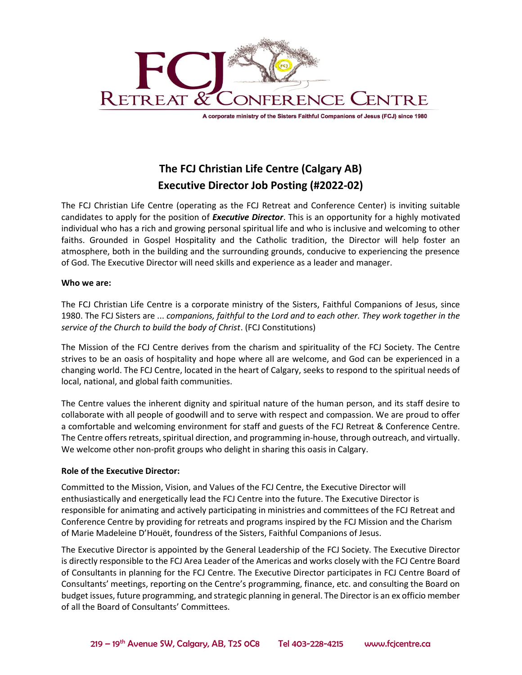

A corporate ministry of the Sisters Faithful Companions of Jesus (FCJ) since 1980

# The FCJ Christian Life Centre (Calgary AB) Executive Director Job Posting (#2022-02)

The FCJ Christian Life Centre (operating as the FCJ Retreat and Conference Center) is inviting suitable candidates to apply for the position of *Executive Director*. This is an opportunity for a highly motivated individual who has a rich and growing personal spiritual life and who is inclusive and welcoming to other faiths. Grounded in Gospel Hospitality and the Catholic tradition, the Director will help foster an atmosphere, both in the building and the surrounding grounds, conducive to experiencing the presence of God. The Executive Director will need skills and experience as a leader and manager.

#### Who we are:

The FCJ Christian Life Centre is a corporate ministry of the Sisters, Faithful Companions of Jesus, since 1980. The FCJ Sisters are ... companions, faithful to the Lord and to each other. They work together in the service of the Church to build the body of Christ. (FCJ Constitutions)

The Mission of the FCJ Centre derives from the charism and spirituality of the FCJ Society. The Centre strives to be an oasis of hospitality and hope where all are welcome, and God can be experienced in a changing world. The FCJ Centre, located in the heart of Calgary, seeks to respond to the spiritual needs of local, national, and global faith communities.

The Centre values the inherent dignity and spiritual nature of the human person, and its staff desire to collaborate with all people of goodwill and to serve with respect and compassion. We are proud to offer a comfortable and welcoming environment for staff and guests of the FCJ Retreat & Conference Centre. The Centre offers retreats, spiritual direction, and programming in-house, through outreach, and virtually. We welcome other non-profit groups who delight in sharing this oasis in Calgary.

## Role of the Executive Director:

Committed to the Mission, Vision, and Values of the FCJ Centre, the Executive Director will enthusiastically and energetically lead the FCJ Centre into the future. The Executive Director is responsible for animating and actively participating in ministries and committees of the FCJ Retreat and Conference Centre by providing for retreats and programs inspired by the FCJ Mission and the Charism of Marie Madeleine D'Houët, foundress of the Sisters, Faithful Companions of Jesus.

The Executive Director is appointed by the General Leadership of the FCJ Society. The Executive Director is directly responsible to the FCJ Area Leader of the Americas and works closely with the FCJ Centre Board of Consultants in planning for the FCJ Centre. The Executive Director participates in FCJ Centre Board of Consultants' meetings, reporting on the Centre's programming, finance, etc. and consulting the Board on budget issues, future programming, and strategic planning in general. The Director is an ex officio member of all the Board of Consultants' Committees.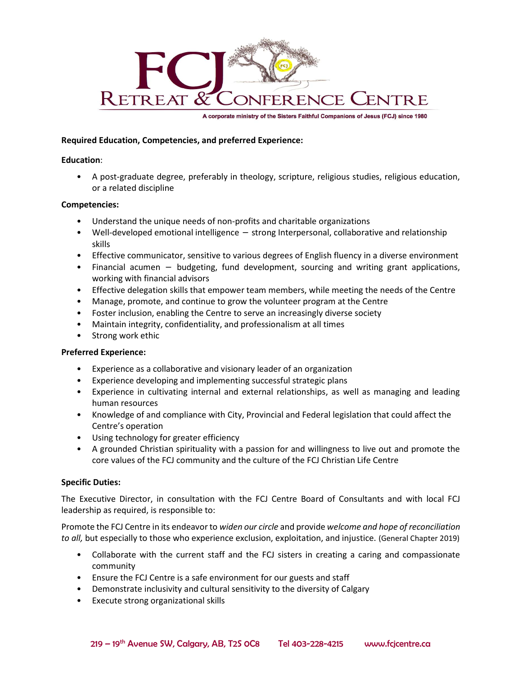

A corporate ministry of the Sisters Faithful Companions of Jesus (FCJ) since 1980

## Required Education, Competencies, and preferred Experience:

#### Education:

• A post-graduate degree, preferably in theology, scripture, religious studies, religious education, or a related discipline

#### Competencies:

- Understand the unique needs of non-profits and charitable organizations
- Well-developed emotional intelligence strong Interpersonal, collaborative and relationship skills
- Effective communicator, sensitive to various degrees of English fluency in a diverse environment
- Financial acumen − budgeting, fund development, sourcing and writing grant applications, working with financial advisors
- Effective delegation skills that empower team members, while meeting the needs of the Centre
- Manage, promote, and continue to grow the volunteer program at the Centre
- Foster inclusion, enabling the Centre to serve an increasingly diverse society
- Maintain integrity, confidentiality, and professionalism at all times
- Strong work ethic

## Preferred Experience:

- Experience as a collaborative and visionary leader of an organization
- Experience developing and implementing successful strategic plans
- Experience in cultivating internal and external relationships, as well as managing and leading human resources
- Knowledge of and compliance with City, Provincial and Federal legislation that could affect the Centre's operation
- Using technology for greater efficiency
- A grounded Christian spirituality with a passion for and willingness to live out and promote the core values of the FCJ community and the culture of the FCJ Christian Life Centre

## Specific Duties:

The Executive Director, in consultation with the FCJ Centre Board of Consultants and with local FCJ leadership as required, is responsible to:

Promote the FCJ Centre in its endeavor to widen our circle and provide welcome and hope of reconciliation to all, but especially to those who experience exclusion, exploitation, and injustice. (General Chapter 2019)

- Collaborate with the current staff and the FCJ sisters in creating a caring and compassionate community
- Ensure the FCJ Centre is a safe environment for our guests and staff
- Demonstrate inclusivity and cultural sensitivity to the diversity of Calgary
- Execute strong organizational skills